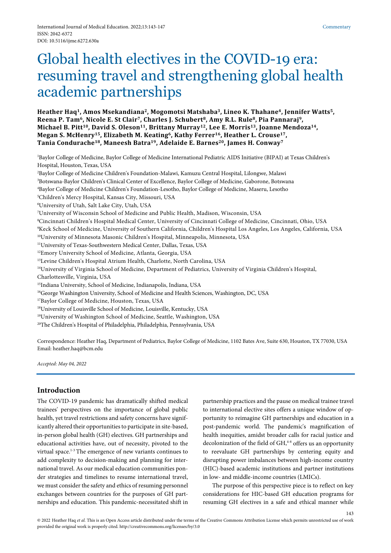# Global health electives in the COVID-19 era: resuming travel and strengthening global health academic partnerships

**Heather Haq1, Amos Msekandiana2, Mogomotsi Matshaba3, Lineo K. Thahane4, Jennifer Watts5, Reena P. Tam6, Nicole E. St Clair7, Charles J. Schubert8, Amy R.L. Rule8, Pia Pannaraj9, Michael B. Pitt10, David S. Oleson11, Brittany Murray12, Lee E. Morris13, Joanne Mendoza14, Megan S. McHenry15, Elizabeth M. Keating6, Kathy Ferrer16, Heather L. Crouse17, Tania Condurache18, Maneesh Batra19, Adelaide E. Barnes20, James H. Conway7**

1 Baylor College of Medicine, Baylor College of Medicine International Pediatric AIDS Initiative (BIPAI) at Texas Children's Hospital, Houston, Texas, USA 2 Baylor College of Medicine Children's Foundation-Malawi, Kamuzu Central Hospital, Lilongwe, Malawi 3 Botswana-Baylor Children's Clinical Center of Excellence, Baylor College of Medicine, Gaborone, Botswana 4 Baylor College of Medicine Children's Foundation-Lesotho, Baylor College of Medicine, Maseru, Lesotho 5 Children's Mercy Hospital, Kansas City, Missouri, USA 6 University of Utah, Salt Lake City, Utah, USA 7 University of Wisconsin School of Medicine and Public Health, Madison, Wisconsin, USA 8 Cincinnati Children's Hospital Medical Center, University of Cincinnati College of Medicine, Cincinnati, Ohio, USA 9 Keck School of Medicine, University of Southern California, Children's Hospital Los Angeles, Los Angeles, California, USA 10University of Minnesota Masonic Children's Hospital, Minneapolis, Minnesota, USA 11University of Texas-Southwestern Medical Center, Dallas, Texas, USA 12Emory University School of Medicine, Atlanta, Georgia, USA 13Levine Children's Hospital Atrium Health, Charlotte, North Carolina, USA 14University of Virginia School of Medicine, Department of Pediatrics, University of Virginia Children's Hospital, Charlottesville, Virginia, USA 15Indiana University, School of Medicine, Indianapolis, Indiana, USA <sup>16</sup>George Washington University, School of Medicine and Health Sciences, Washington, DC, USA 17Baylor College of Medicine, Houston, Texas, USA 18University of Louisville School of Medicine, Louisville, Kentucky, USA <sup>19</sup>University of Washington School of Medicine, Seattle, Washington, USA 20The Children's Hospital of Philadelphia, Philadelphia, Pennsylvania, USA

Correspondence: Heather Haq, Department of Pediatrics, Baylor College of Medicine, 1102 Bates Ave, Suite 630, Houston, TX 77030, USA Email: heather.haq@bcm.edu

*Accepted: May 04, 2022*

# **Introduction**

The COVID-19 pandemic has dramatically shifted medical trainees' perspectives on the importance of global public health, yet travel restrictions and safety concerns have significantly altered their opportunities to participate in site-based, in-person global health (GH) electives. GH partnerships and educational activities have, out of necessity, pivoted to the virtual space.1-3 The emergence of new variants continues to add complexity to decision-making and planning for international travel. As our medical education communities ponder strategies and timelines to resume international travel, we must consider the safety and ethics of resuming personnel exchanges between countries for the purposes of GH partnerships and education. This pandemic-necessitated shift in partnership practices and the pause on medical trainee travel to international elective sites offers a unique window of opportunity to reimagine GH partnerships and education in a post-pandemic world. The pandemic's magnification of health inequities, amidst broader calls for racial justice and decolonization of the field of  $GH,4-8$  offers us an opportunity to reevaluate GH partnerships by centering equity and disrupting power imbalances between high-income country (HIC)-based academic institutions and partner institutions in low- and middle-income countries (LMICs).

The purpose of this perspective piece is to reflect on key considerations for HIC-based GH education programs for resuming GH electives in a safe and ethical manner while

143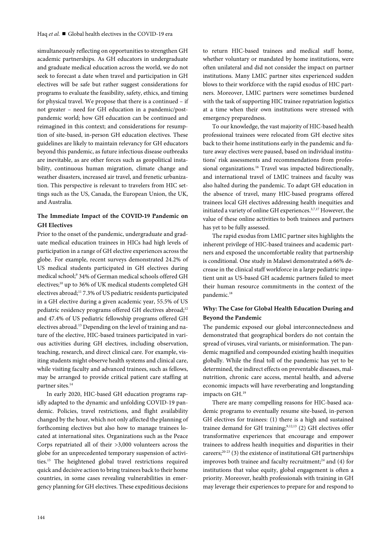simultaneously reflecting on opportunities to strengthen GH academic partnerships. As GH educators in undergraduate and graduate medical education across the world, we do not seek to forecast a date when travel and participation in GH electives will be safe but rather suggest considerations for programs to evaluate the feasibility, safety, ethics, and timing for physical travel. We propose that there is a continued – if not greater – need for GH education in a pandemic/postpandemic world; how GH education can be continued and reimagined in this context; and considerations for resumption of site-based, in-person GH education electives. These guidelines are likely to maintain relevancy for GH educators beyond this pandemic, as future infectious disease outbreaks are inevitable, as are other forces such as geopolitical instability, continuous human migration, climate change and weather disasters, increased air travel, and frenetic urbanization. This perspective is relevant to travelers from HIC settings such as the US, Canada, the European Union, the UK, and Australia.

# **The Immediate Impact of the COVID-19 Pandemic on GH Electives**

Prior to the onset of the pandemic, undergraduate and graduate medical education trainees in HICs had high levels of participation in a range of GH elective experiences across the globe. For example, recent surveys demonstrated 24.2% of US medical students participated in GH electives during medical school;9 34% of German medical schools offered GH electives;<sup>10</sup> up to 36% of UK medical students completed GH electives abroad;11 7.3% of US pediatric residents participated in a GH elective during a given academic year, 55.5% of US pediatric residency programs offered GH electives abroad;<sup>12</sup> and 47.4% of US pediatric fellowship programs offered GH electives abroad.<sup>13</sup> Depending on the level of training and nature of the elective, HIC-based trainees participated in various activities during GH electives, including observation, teaching, research, and direct clinical care. For example, visiting students might observe health systems and clinical care, while visiting faculty and advanced trainees, such as fellows, may be arranged to provide critical patient care staffing at partner sites.<sup>14</sup>

In early 2020, HIC-based GH education programs rapidly adapted to the dynamic and unfolding COVID-19 pandemic. Policies, travel restrictions, and flight availability changed by the hour, which not only affected the planning of forthcoming electives but also how to manage trainees located at international sites. Organizations such as the Peace Corps repatriated all of their >3,000 volunteers across the globe for an unprecedented temporary suspension of activities.15 The heightened global travel restrictions required quick and decisive action to bring trainees back to their home countries, in some cases revealing vulnerabilities in emergency planning for GH electives. These expeditious decisions

to return HIC-based trainees and medical staff home, whether voluntary or mandated by home institutions, were often unilateral and did not consider the impact on partner institutions. Many LMIC partner sites experienced sudden blows to their workforce with the rapid exodus of HIC partners. Moreover, LMIC partners were sometimes burdened with the task of supporting HIC trainee repatriation logistics at a time when their own institutions were stressed with emergency preparedness.

To our knowledge, the vast majority of HIC-based health professional trainees were relocated from GH elective sites back to their home institutions early in the pandemic and future away electives were paused, based on individual institutions' risk assessments and recommendations from professional organizations.<sup>16</sup> Travel was impacted bidirectionally, and international travel of LMIC trainees and faculty was also halted during the pandemic. To adapt GH education in the absence of travel, many HIC-based programs offered trainees local GH electives addressing health inequities and initiated a variety of online GH experiences.<sup>3,7,17</sup> However, the value of these online activities to both trainees and partners has yet to be fully assessed.

The rapid exodus from LMIC partner sites highlights the inherent privilege of HIC-based trainees and academic partners and exposed the uncomfortable reality that partnership is conditional. One study in Malawi demonstrated a 66% decrease in the clinical staff workforce in a large pediatric inpatient unit as US-based GH academic partners failed to meet their human resource commitments in the context of the pandemic.<sup>18</sup>

# **Why: The Case for Global Health Education During and Beyond the Pandemic**

The pandemic exposed our global interconnectedness and demonstrated that geographical borders do not contain the spread of viruses, viral variants, or misinformation. The pandemic magnified and compounded existing health inequities globally. While the final toll of the pandemic has yet to be determined, the indirect effects on preventable diseases, malnutrition, chronic care access, mental health, and adverse economic impacts will have reverberating and longstanding impacts on GH.19

There are many compelling reasons for HIC-based academic programs to eventually resume site-based, in-person GH electives for trainees: (1) there is a high and sustained trainee demand for GH training; $9,12,13$  (2) GH electives offer transformative experiences that encourage and empower trainees to address health inequities and disparities in their careers;<sup>20-23</sup> (3) the existence of institutional GH partnerships improves both trainee and faculty recruitment; $^{24}$  and (4) for institutions that value equity, global engagement is often a priority. Moreover, health professionals with training in GH may leverage their experiences to prepare for and respond to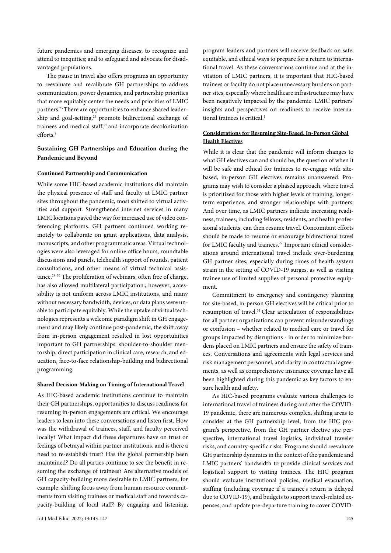future pandemics and emerging diseases; to recognize and attend to inequities; and to safeguard and advocate for disadvantaged populations.

The pause in travel also offers programs an opportunity to reevaluate and recalibrate GH partnerships to address communication, power dynamics, and partnership priorities that more equitably center the needs and priorities of LMIC partners.<sup>25</sup> There are opportunities to enhance shared leadership and goal-setting,<sup>26</sup> promote bidirectional exchange of trainees and medical staff,<sup>27</sup> and incorporate decolonization efforts.<sup>8</sup>

# **Sustaining GH Partnerships and Education during the Pandemic and Beyond**

## **Continued Partnership and Communication**

While some HIC-based academic institutions did maintain the physical presence of staff and faculty at LMIC partner sites throughout the pandemic, most shifted to virtual activities and support. Strengthened internet services in many LMIC locations paved the way for increased use of video conferencing platforms. GH partners continued working remotely to collaborate on grant applications, data analysis, manuscripts, and other programmatic areas. Virtual technologies were also leveraged for online office hours, roundtable discussions and panels, telehealth support of rounds, patient consultations, and other means of virtual technical assistance.28-30 The proliferation of webinars, often free of charge, has also allowed multilateral participation.; however, accessibility is not uniform across LMIC institutions, and many without necessary bandwidth, devices, or data plans were unable to participate equitably. While the uptake of virtual technologies represents a welcome paradigm shift in GH engagement and may likely continue post-pandemic, the shift away from in-person engagement resulted in lost opportunities important to GH partnerships: shoulder-to-shoulder mentorship, direct participation in clinical care, research, and education, face-to-face relationship-building and bidirectional programming.

#### **Shared Decision-Making on Timing of International Travel**

As HIC-based academic institutions continue to maintain their GH partnerships, opportunities to discuss readiness for resuming in-person engagements are critical. We encourage leaders to lean into these conversations and listen first. How was the withdrawal of trainees, staff, and faculty perceived locally? What impact did these departures have on trust or feelings of betrayal within partner institutions, and is there a need to re-establish trust? Has the global partnership been maintained? Do all parties continue to see the benefit in resuming the exchange of trainees? Are alternative models of GH capacity-building more desirable to LMIC partners, for example, shifting focus away from human resource commitments from visiting trainees or medical staff and towards capacity-building of local staff? By engaging and listening,

program leaders and partners will receive feedback on safe, equitable, and ethical ways to prepare for a return to international travel. As these conversations continue and at the invitation of LMIC partners, it is important that HIC-based trainees or faculty do not place unnecessary burdens on partner sites, especially where healthcare infrastructure may have been negatively impacted by the pandemic. LMIC partners' insights and perspectives on readiness to receive international trainees is critical.<sup>1</sup>

# **Considerations for Resuming Site-Based, In-Person Global Health Electives**

While it is clear that the pandemic will inform changes to what GH electives can and should be, the question of when it will be safe and ethical for trainees to re-engage with sitebased, in-person GH electives remains unanswered. Programs may wish to consider a phased approach, where travel is prioritized for those with higher levels of training, longerterm experience, and stronger relationships with partners. And over time, as LMIC partners indicate increasing readiness, trainees, including fellows, residents, and health professional students, can then resume travel. Concomitant efforts should be made to resume or encourage bidirectional travel for LMIC faculty and trainees.<sup>27</sup> Important ethical considerations around international travel include over-burdening GH partner sites, especially during times of health system strain in the setting of COVID-19 surges, as well as visiting trainee use of limited supplies of personal protective equipment.

Commitment to emergency and contingency planning for site-based, in-person GH electives will be critical prior to resumption of travel.31 Clear articulation of responsibilities for all partner organizations can prevent misunderstandings or confusion – whether related to medical care or travel for groups impacted by disruptions - in order to minimize burdens placed on LMIC partners and ensure the safety of trainees. Conversations and agreements with legal services and risk management personnel, and clarity in contractual agreements, as well as comprehensive insurance coverage have all been highlighted during this pandemic as key factors to ensure health and safety.

As HIC-based programs evaluate various challenges to international travel of trainees during and after the COVID-19 pandemic, there are numerous complex, shifting areas to consider at the GH partnership level, from the HIC program's perspective, from the GH partner elective site perspective, international travel logistics, individual traveler risks, and country-specific risks. Programs should reevaluate GH partnership dynamics in the context of the pandemic and LMIC partners' bandwidth to provide clinical services and logistical support to visiting trainees. The HIC program should evaluate institutional policies, medical evacuation, staffing (including coverage if a trainee's return is delayed due to COVID-19), and budgets to support travel-related expenses, and update pre-departure training to cover COVID-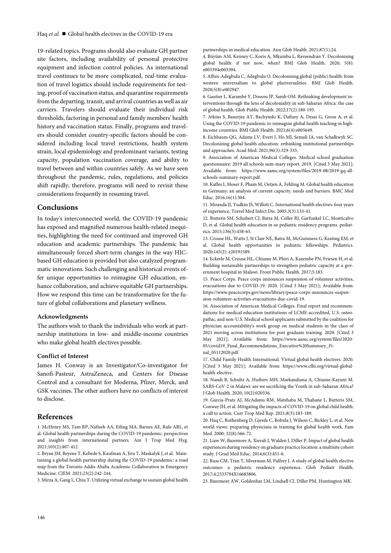19-related topics. Programs should also evaluate GH partner site factors, including availability of personal protective equipment and infection control policies. As international travel continues to be more complicated, real-time evaluation of travel logistics should include requirements for testing, proof of vaccination status, and quarantine requirements from the departing, transit, and arrival countries as well as air carriers. Travelers should evaluate their individual risk thresholds, factoring in personal and family members' health history and vaccination status. Finally, programs and travelers should consider country-specific factors should be considered including local travel restrictions, health system strain, local epidemiology and predominant variants, testing capacity, population vaccination coverage, and ability to travel between and within countries safely. As we have seen throughout the pandemic, rules, regulations, and policies shift rapidly; therefore, programs will need to revisit these considerations frequently in resuming travel.

### **Conclusions**

In today's interconnected world, the COVID-19 pandemic has exposed and magnified numerous health-related inequities, highlighting the need for continued and improved GH education and academic partnerships. The pandemic has simultaneously forced short-term changes in the way HICbased GH education is provided but also catalyzed programmatic innovations. Such challenging and historical events offer unique opportunities to reimagine GH education, enhance collaboration, and achieve equitable GH partnerships. How we respond this time can be transformative for the future of global collaborations and planetary wellness.

#### **Acknowledgments**

The authors wish to thank the individuals who work at partnership institutions in low- and middle-income countries who make global health electives possible.

#### **Conflict of Interest**

James H. Conway is an Investigator/Co-investigator for Sanofi-Pasteur, AstraZeneca, and Centers for Disease Control and a consultant for Moderna, Pfizer, Merck, and GSK vaccines. The other authors have no conflicts of interest to disclose.

## **References**

1. McHenry MS, Tam RP, Nafiseh AA, Etling MA, Barnes AE, Rule ARL, et al. Global health partnerships during the COVID-19 pandemic: perspectives and insights from international partners. Am J Trop Med Hyg. 2021;105(2):407-412.

2. Bryan JM, Beyene T, Kebede S, Kaufman A, Jiru T, Maskalyk J, et al. Maintaining a global health partnership during the COVID-19 pandemic: a road map from the Toronto Addis Ababa Academic Collaboration in Emergency Medicine. CJEM. 2021;23(2):242-244.

3. Mirza A, Gang L, Chiu T. Utilizing virtual exchange to sustain global health

partnerships in medical education. Ann Glob Health. 2021;87(1):24.

4. Büyüm AM, Kenney C, Koris A, Mkumba L, Raveendran Y. Decolonising global health: if not now, when? BMJ Glob Health. 2020; 5(8): e003394e003394.

5. Affun-Adegbulu C, Adegbulu O. Decolonising global (public) health: from western universalism to global pluriversalities. BMJ Glob Health. 2020;5(8):e002947.

6. Gautier L, Karambé Y, Dossou JP, Samb OM. Rethinking development interventions through the lens of decoloniality in sub-Saharan Africa: the case of global health. Glob Public Health. 2022;17(2):180-193.

7. Atkins S, Banerjee AT, Bachynski K, Daftary A, Desai G, Gross A, et al. Using the COVID-19 pandemic to reimagine global health teaching in highincome countries. BMJ Glob Health. 2021;6(4):e005649.

8. Eichbaum QG, Adams LV, Evert J, Ho MJ, Semali IA, van Schalkwyk SC. Decolonizing global health education: rethinking institutional partnerships and approaches. Acad Med. 2021;96(3):329-335.

9. Association of American Medical Colleges. Medical school graduation questionnaire: 2019 all schools sum-mary report. 2019. [Cited 3 May 2021]; Available from: https://www.aamc.org/system/files/2019-08/2019-gq-allschools-summary-report.pdf.

10. Kaffes I, Moser F, Pham M, Oetjen A, Fehling M. Global health education in Germany: an analysis of current capacity, needs and barriers. BMC Med Educ. 2016;16(1):304.

11. Miranda JJ, Yudkin JS, Willott C. International health electives: four years of experience. Travel Med Infect Dis. 2005;3(3):133-41.

12. Butteris SM, Schubert CJ, Batra M, Coller RJ, Garfunkel LC, Monticalvo D, et al. Global health education in us pediatric residency programs. pediatrics. 2015;136(3):458-65.

13. Crouse HL, Watts J, St Clair NE, Batra M, McGuinness G, Keating EM, et al. Global health opportunities in pediatric fellowships. Pediatrics. 2020;145(2): e20191589.

14. Eckerle M, Crouse HL, Chiume M, Phiri A, Kazembe PN, Friesen H, et al. Building sustainable partnerships to strengthen pediatric capacity at a government hospital in Malawi. Front Public Health. 2017;5:183.

15. Peace Corps. Peace corps announces suspension of volunteer activities, evacuations due to COVID-19. 2020. [Cited 3 May 2021]; Available from: https://www.peacecorps.gov/news/library/peace-corps-announces-suspension-volunteer-activities-evacuations-due-covid-19.

16. Association of American Medical Colleges. Final report and recommendations for medical education institutions of LCME-accredited, U.S. osteopathic, and non-U.S. Medical school applicants submitted by the coalition for physician accountability's work group on medical students in the class of 2021 moving across institutions for post graduate training. 2020. [Cited 3 May 2021]; Available from: https://www.aamc.org/system/files/2020- 05/covid19\_Final\_Recommendations\_Executive%20Summary\_Final\_05112020.pdf.

17. Child Family Health International. Virtual global health electives. 2020. [Cited 3 May 2021]; Available from: https://www.cfhi.org/virtual-globalhealth-elective.

18. Nandi B, Schultz A, Huibers MH, Msekandiana A, Chiume-Kayuni M. SARS-CoV-2 in Malawi: are we sacrificing the Youth in sub-Saharan Africa? J Glob Health. 2020; 10(2):020336.

19. Garcia-Prats AJ, McAdams RM, Matshaba M, Thahane L, Butteris SM, Conway JH, et al. Mitigating the impacts of COVID-19 on global child health: a call to action. Curr Trop Med Rep. 2021;8(3):183-189.

20. Haq C, Rothenberg D, Gjerde C, Bobula J, Wilson C, Bickley L, et al. New world views: preparing physicians in training for global health work. Fam Med. 2000; 32(8):566-72.

21. Liaw W, Bazemore A, Xierali I, Walden J, Diller P. Impact of global health experiences during residency on graduate practice location: a multisite cohort study. J Grad Med Educ. 2014;6(3):451-6.

22. Russ CM, Tran T, Silverman M, Palfrey J. A study of global health elective outcomes: a pediatric residency experience. Glob Pediatr Health. 2017;4:2333794X16683806.

23. Bazemore AW, Goldenhar LM, Lindsell CJ, Diller PM, Huntington MK.